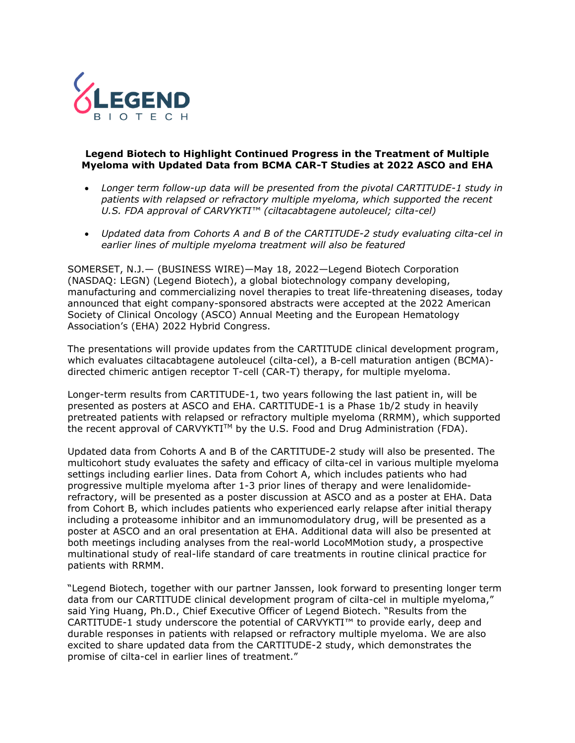

# **Legend Biotech to Highlight Continued Progress in the Treatment of Multiple Myeloma with Updated Data from BCMA CAR-T Studies at 2022 ASCO and EHA**

- *Longer term follow-up data will be presented from the pivotal CARTITUDE-1 study in patients with relapsed or refractory multiple myeloma, which supported the recent U.S. FDA approval of CARVYKTI™ (ciltacabtagene autoleucel; cilta-cel)*
- *Updated data from Cohorts A and B of the CARTITUDE-2 study evaluating cilta-cel in earlier lines of multiple myeloma treatment will also be featured*

SOMERSET, N.J.— (BUSINESS WIRE)—May 18, 2022—Legend Biotech Corporation (NASDAQ: LEGN) (Legend Biotech), a global biotechnology company developing, manufacturing and commercializing novel therapies to treat life-threatening diseases, today announced that eight company-sponsored abstracts were accepted at the 2022 American Society of Clinical Oncology (ASCO) Annual Meeting and the European Hematology Association's (EHA) 2022 Hybrid Congress.

The presentations will provide updates from the CARTITUDE clinical development program, which evaluates ciltacabtagene autoleucel (cilta-cel), a B-cell maturation antigen (BCMA) directed chimeric antigen receptor T-cell (CAR-T) therapy, for multiple myeloma.

Longer-term results from CARTITUDE-1, two years following the last patient in, will be presented as posters at ASCO and EHA. CARTITUDE-1 is a Phase 1b/2 study in heavily pretreated patients with relapsed or refractory multiple myeloma (RRMM), which supported the recent approval of CARVYKTI™ by the U.S. Food and Drug Administration (FDA).

Updated data from Cohorts A and B of the CARTITUDE-2 study will also be presented. The multicohort study evaluates the safety and efficacy of cilta-cel in various multiple myeloma settings including earlier lines. Data from Cohort A, which includes patients who had progressive multiple myeloma after 1-3 prior lines of therapy and were lenalidomiderefractory, will be presented as a poster discussion at ASCO and as a poster at EHA. Data from Cohort B, which includes patients who experienced early relapse after initial therapy including a proteasome inhibitor and an immunomodulatory drug, will be presented as a poster at ASCO and an oral presentation at EHA. Additional data will also be presented at both meetings including analyses from the real-world LocoMMotion study, a prospective multinational study of real-life standard of care treatments in routine clinical practice for patients with RRMM.

"Legend Biotech, together with our partner Janssen, look forward to presenting longer term data from our CARTITUDE clinical development program of cilta-cel in multiple myeloma," said Ying Huang, Ph.D., Chief Executive Officer of Legend Biotech. "Results from the CARTITUDE-1 study underscore the potential of CARVYKTI™ to provide early, deep and durable responses in patients with relapsed or refractory multiple myeloma. We are also excited to share updated data from the CARTITUDE-2 study, which demonstrates the promise of cilta-cel in earlier lines of treatment."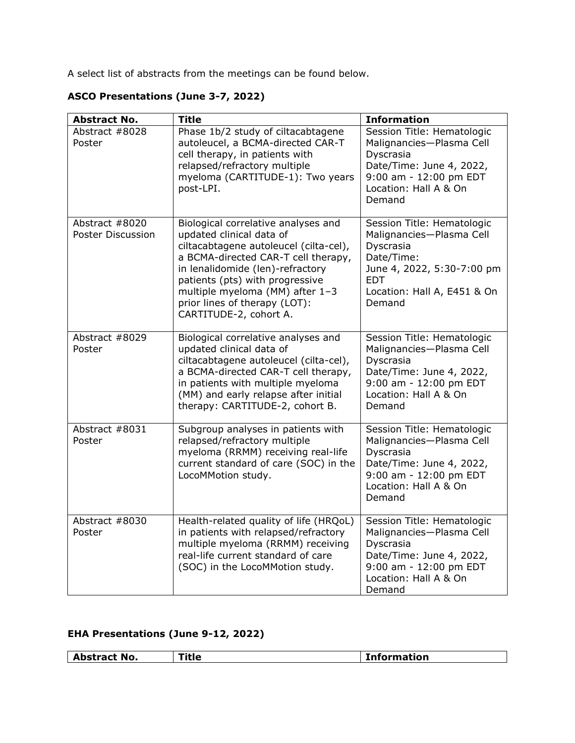A select list of abstracts from the meetings can be found below.

| <b>Abstract No.</b>                        | <b>Title</b>                                                                                                                                                                                                                                                                                                          | <b>Information</b>                                                                                                                                                     |
|--------------------------------------------|-----------------------------------------------------------------------------------------------------------------------------------------------------------------------------------------------------------------------------------------------------------------------------------------------------------------------|------------------------------------------------------------------------------------------------------------------------------------------------------------------------|
| Abstract #8028<br>Poster                   | Phase 1b/2 study of ciltacabtagene<br>autoleucel, a BCMA-directed CAR-T<br>cell therapy, in patients with<br>relapsed/refractory multiple<br>myeloma (CARTITUDE-1): Two years<br>post-LPI.                                                                                                                            | Session Title: Hematologic<br>Malignancies-Plasma Cell<br>Dyscrasia<br>Date/Time: June 4, 2022,<br>9:00 am - 12:00 pm EDT<br>Location: Hall A & On<br>Demand           |
| Abstract #8020<br><b>Poster Discussion</b> | Biological correlative analyses and<br>updated clinical data of<br>ciltacabtagene autoleucel (cilta-cel),<br>a BCMA-directed CAR-T cell therapy,<br>in lenalidomide (len)-refractory<br>patients (pts) with progressive<br>multiple myeloma (MM) after 1-3<br>prior lines of therapy (LOT):<br>CARTITUDE-2, cohort A. | Session Title: Hematologic<br>Malignancies-Plasma Cell<br>Dyscrasia<br>Date/Time:<br>June 4, 2022, 5:30-7:00 pm<br><b>EDT</b><br>Location: Hall A, E451 & On<br>Demand |
| Abstract #8029<br>Poster                   | Biological correlative analyses and<br>updated clinical data of<br>ciltacabtagene autoleucel (cilta-cel),<br>a BCMA-directed CAR-T cell therapy,<br>in patients with multiple myeloma<br>(MM) and early relapse after initial<br>therapy: CARTITUDE-2, cohort B.                                                      | Session Title: Hematologic<br>Malignancies-Plasma Cell<br>Dyscrasia<br>Date/Time: June 4, 2022,<br>9:00 am - 12:00 pm EDT<br>Location: Hall A & On<br>Demand           |
| Abstract #8031<br>Poster                   | Subgroup analyses in patients with<br>relapsed/refractory multiple<br>myeloma (RRMM) receiving real-life<br>current standard of care (SOC) in the<br>LocoMMotion study.                                                                                                                                               | Session Title: Hematologic<br>Malignancies-Plasma Cell<br>Dyscrasia<br>Date/Time: June 4, 2022,<br>9:00 am - 12:00 pm EDT<br>Location: Hall A & On<br>Demand           |
| Abstract #8030<br>Poster                   | Health-related quality of life (HRQoL)<br>in patients with relapsed/refractory<br>multiple myeloma (RRMM) receiving<br>real-life current standard of care<br>(SOC) in the LocoMMotion study.                                                                                                                          | Session Title: Hematologic<br>Malignancies-Plasma Cell<br>Dyscrasia<br>Date/Time: June 4, 2022,<br>9:00 am - 12:00 pm EDT<br>Location: Hall A & On<br>Demand           |

# **ASCO Presentations (June 3-7, 2022)**

# **EHA Presentations (June 9-12, 2022)**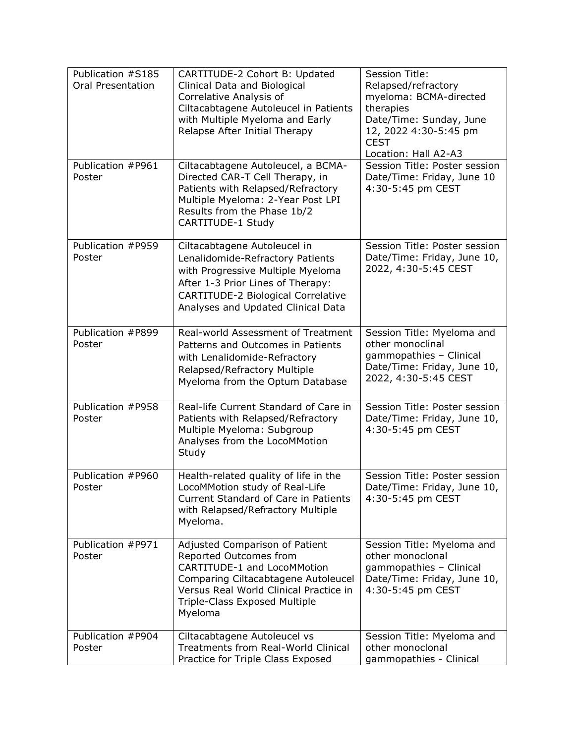| Publication #S185<br>Oral Presentation | CARTITUDE-2 Cohort B: Updated<br>Clinical Data and Biological<br>Correlative Analysis of<br>Ciltacabtagene Autoleucel in Patients<br>with Multiple Myeloma and Early<br>Relapse After Initial Therapy                         | <b>Session Title:</b><br>Relapsed/refractory<br>myeloma: BCMA-directed<br>therapies<br>Date/Time: Sunday, June<br>12, 2022 4:30-5:45 pm<br><b>CEST</b><br>Location: Hall A2-A3 |
|----------------------------------------|-------------------------------------------------------------------------------------------------------------------------------------------------------------------------------------------------------------------------------|--------------------------------------------------------------------------------------------------------------------------------------------------------------------------------|
| Publication #P961<br>Poster            | Ciltacabtagene Autoleucel, a BCMA-<br>Directed CAR-T Cell Therapy, in<br>Patients with Relapsed/Refractory<br>Multiple Myeloma: 2-Year Post LPI<br>Results from the Phase 1b/2<br>CARTITUDE-1 Study                           | Session Title: Poster session<br>Date/Time: Friday, June 10<br>4:30-5:45 pm CEST                                                                                               |
| Publication #P959<br>Poster            | Ciltacabtagene Autoleucel in<br>Lenalidomide-Refractory Patients<br>with Progressive Multiple Myeloma<br>After 1-3 Prior Lines of Therapy:<br><b>CARTITUDE-2 Biological Correlative</b><br>Analyses and Updated Clinical Data | Session Title: Poster session<br>Date/Time: Friday, June 10,<br>2022, 4:30-5:45 CEST                                                                                           |
| Publication #P899<br>Poster            | Real-world Assessment of Treatment<br>Patterns and Outcomes in Patients<br>with Lenalidomide-Refractory<br>Relapsed/Refractory Multiple<br>Myeloma from the Optum Database                                                    | Session Title: Myeloma and<br>other monoclinal<br>gammopathies - Clinical<br>Date/Time: Friday, June 10,<br>2022, 4:30-5:45 CEST                                               |
| Publication #P958<br>Poster            | Real-life Current Standard of Care in<br>Patients with Relapsed/Refractory<br>Multiple Myeloma: Subgroup<br>Analyses from the LocoMMotion<br>Study                                                                            | Session Title: Poster session<br>Date/Time: Friday, June 10,<br>4:30-5:45 pm CEST                                                                                              |
| Publication #P960<br>Poster            | Health-related quality of life in the<br>LocoMMotion study of Real-Life<br>Current Standard of Care in Patients<br>with Relapsed/Refractory Multiple<br>Myeloma.                                                              | Session Title: Poster session<br>Date/Time: Friday, June 10,<br>4:30-5:45 pm CEST                                                                                              |
| Publication #P971<br>Poster            | Adjusted Comparison of Patient<br>Reported Outcomes from<br>CARTITUDE-1 and LocoMMotion<br>Comparing Ciltacabtagene Autoleucel<br>Versus Real World Clinical Practice in<br>Triple-Class Exposed Multiple<br>Myeloma          | Session Title: Myeloma and<br>other monoclonal<br>gammopathies - Clinical<br>Date/Time: Friday, June 10,<br>4:30-5:45 pm CEST                                                  |
| Publication #P904<br>Poster            | Ciltacabtagene Autoleucel vs<br><b>Treatments from Real-World Clinical</b><br>Practice for Triple Class Exposed                                                                                                               | Session Title: Myeloma and<br>other monoclonal<br>gammopathies - Clinical                                                                                                      |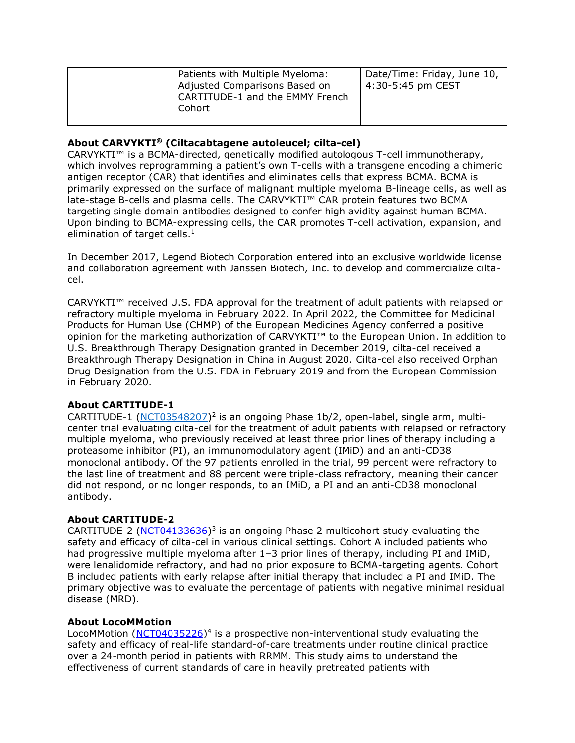| Patients with Multiple Myeloma:<br>Adjusted Comparisons Based on<br>CARTITUDE-1 and the EMMY French<br>Cohort | Date/Time: Friday, June 10,<br>4:30-5:45 pm CEST |
|---------------------------------------------------------------------------------------------------------------|--------------------------------------------------|
|                                                                                                               |                                                  |

# **About CARVYKTI® (Ciltacabtagene autoleucel; cilta-cel)**

CARVYKTI™ is a BCMA-directed, genetically modified autologous T-cell immunotherapy, which involves reprogramming a patient's own T-cells with a transgene encoding a chimeric antigen receptor (CAR) that identifies and eliminates cells that express BCMA. BCMA is primarily expressed on the surface of malignant multiple myeloma B-lineage cells, as well as late-stage B-cells and plasma cells. The CARVYKTI™ CAR protein features two BCMA targeting single domain antibodies designed to confer high avidity against human BCMA. Upon binding to BCMA-expressing cells, the CAR promotes T-cell activation, expansion, and elimination of target cells.<sup>1</sup>

In December 2017, Legend Biotech Corporation entered into an exclusive worldwide license and collaboration agreement with Janssen Biotech, Inc. to develop and commercialize ciltacel.

CARVYKTI™ received U.S. FDA approval for the treatment of adult patients with relapsed or refractory multiple myeloma in February 2022. In April 2022, the Committee for Medicinal Products for Human Use (CHMP) of the European Medicines Agency conferred a positive opinion for the marketing authorization of CARVYKTI™ to the European Union. In addition to U.S. Breakthrough Therapy Designation granted in December 2019, cilta-cel received a Breakthrough Therapy Designation in China in August 2020. Cilta-cel also received Orphan Drug Designation from the U.S. FDA in February 2019 and from the European Commission in February 2020.

# **About CARTITUDE-1**

CARTITUDE-1 [\(NCT03548207\)](https://clinicaltrials.gov/ct2/show/NCT03548207)<sup>2</sup> is an ongoing Phase 1b/2, open-label, single arm, multicenter trial evaluating cilta-cel for the treatment of adult patients with relapsed or refractory multiple myeloma, who previously received at least three prior lines of therapy including a proteasome inhibitor (PI), an immunomodulatory agent (IMiD) and an anti-CD38 monoclonal antibody. Of the 97 patients enrolled in the trial, 99 percent were refractory to the last line of treatment and 88 percent were triple-class refractory, meaning their cancer did not respond, or no longer responds, to an IMiD, a PI and an anti-CD38 monoclonal antibody.

# **About CARTITUDE-2**

CARTITUDE-2 [\(NCT04133636\)](https://clinicaltrials.gov/ct2/show/NCT04133636)<sup>3</sup> is an ongoing Phase 2 multicohort study evaluating the safety and efficacy of cilta-cel in various clinical settings. Cohort A included patients who had progressive multiple myeloma after 1-3 prior lines of therapy, including PI and IMiD, were lenalidomide refractory, and had no prior exposure to BCMA-targeting agents. Cohort B included patients with early relapse after initial therapy that included a PI and IMiD. The primary objective was to evaluate the percentage of patients with negative minimal residual disease (MRD).

# **About LocoMMotion**

LocoMMotion [\(NCT04035226\)](https://clinicaltrials.gov/ct2/show/NCT04035226)<sup>4</sup> is a prospective non-interventional study evaluating the safety and efficacy of real-life standard-of-care treatments under routine clinical practice over a 24-month period in patients with RRMM. This study aims to understand the effectiveness of current standards of care in heavily pretreated patients with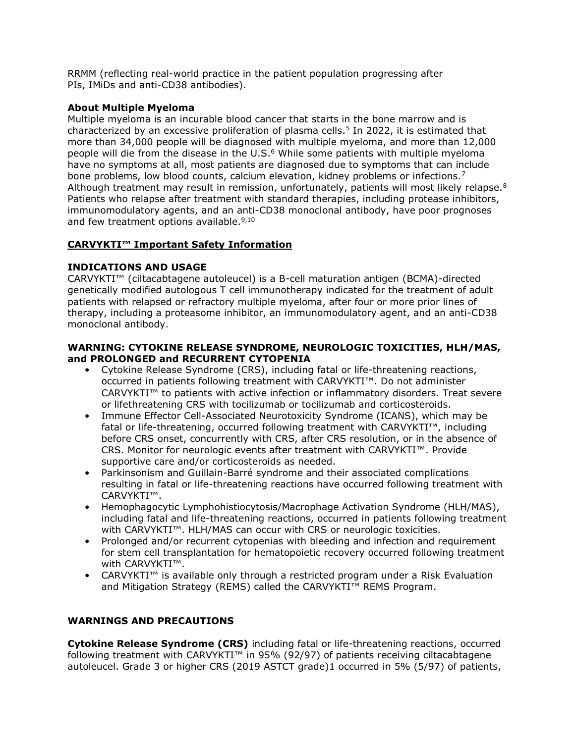RRMM (reflecting real-world practice in the patient population progressing after PIs, IMiDs and anti-CD38 antibodies).

# **About Multiple Myeloma**

Multiple myeloma is an incurable blood cancer that starts in the bone marrow and is characterized by an excessive proliferation of plasma cells.<sup>5</sup> In 2022, it is estimated that more than 34,000 people will be diagnosed with multiple myeloma, and more than 12,000 people will die from the disease in the U.S.<sup>6</sup> While some patients with multiple myeloma have no symptoms at all, most patients are diagnosed due to symptoms that can include bone problems, low blood counts, calcium elevation, kidney problems or infections.<sup>7</sup> Although treatment may result in remission, unfortunately, patients will most likely relapse.<sup>8</sup> Patients who relapse after treatment with standard therapies, including protease inhibitors, immunomodulatory agents, and an anti-CD38 monoclonal antibody, have poor prognoses and few treatment options available.<sup>9,10</sup>

# **CARVYKTI™ Important Safety Information**

# **INDICATIONS AND USAGE**

CARVYKTI™ (ciltacabtagene autoleucel) is a B-cell maturation antigen (BCMA)-directed genetically modified autologous T cell immunotherapy indicated for the treatment of adult patients with relapsed or refractory multiple myeloma, after four or more prior lines of therapy, including a proteasome inhibitor, an immunomodulatory agent, and an anti-CD38 monoclonal antibody.

# **WARNING: CYTOKINE RELEASE SYNDROME, NEUROLOGIC TOXICITIES, HLH/MAS, and PROLONGED and RECURRENT CYTOPENIA**

- Cytokine Release Syndrome (CRS), including fatal or life-threatening reactions, occurred in patients following treatment with CARVYKTI™. Do not administer CARVYKTI™ to patients with active infection or inflammatory disorders. Treat severe or lifethreatening CRS with tocilizumab or tocilizumab and corticosteroids.
- Immune Effector Cell-Associated Neurotoxicity Syndrome (ICANS), which may be fatal or life-threatening, occurred following treatment with CARVYKTI™, including before CRS onset, concurrently with CRS, after CRS resolution, or in the absence of CRS. Monitor for neurologic events after treatment with CARVYKTI™. Provide supportive care and/or corticosteroids as needed.
- Parkinsonism and Guillain-Barré syndrome and their associated complications resulting in fatal or life-threatening reactions have occurred following treatment with CARVYKTI™.
- Hemophagocytic Lymphohistiocytosis/Macrophage Activation Syndrome (HLH/MAS), including fatal and life-threatening reactions, occurred in patients following treatment with CARVYKTI™. HLH/MAS can occur with CRS or neurologic toxicities.
- Prolonged and/or recurrent cytopenias with bleeding and infection and requirement for stem cell transplantation for hematopoietic recovery occurred following treatment with CARVYKTI™.
- CARVYKTI™ is available only through a restricted program under a Risk Evaluation and Mitigation Strategy (REMS) called the CARVYKTI™ REMS Program.

# **WARNINGS AND PRECAUTIONS**

**Cytokine Release Syndrome (CRS)** including fatal or life-threatening reactions, occurred following treatment with CARVYKTI™ in 95% (92/97) of patients receiving ciltacabtagene autoleucel. Grade 3 or higher CRS (2019 ASTCT grade)1 occurred in 5% (5/97) of patients,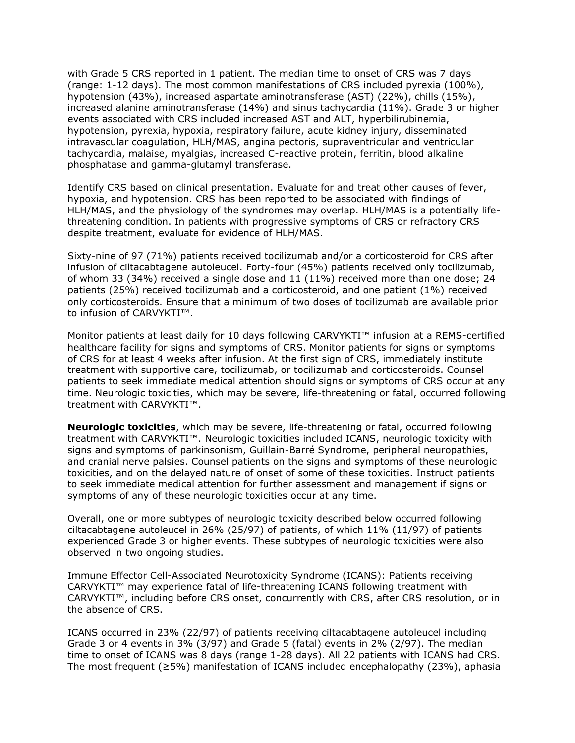with Grade 5 CRS reported in 1 patient. The median time to onset of CRS was 7 days (range: 1-12 days). The most common manifestations of CRS included pyrexia (100%), hypotension (43%), increased aspartate aminotransferase (AST) (22%), chills (15%), increased alanine aminotransferase (14%) and sinus tachycardia (11%). Grade 3 or higher events associated with CRS included increased AST and ALT, hyperbilirubinemia, hypotension, pyrexia, hypoxia, respiratory failure, acute kidney injury, disseminated intravascular coagulation, HLH/MAS, angina pectoris, supraventricular and ventricular tachycardia, malaise, myalgias, increased C-reactive protein, ferritin, blood alkaline phosphatase and gamma-glutamyl transferase.

Identify CRS based on clinical presentation. Evaluate for and treat other causes of fever, hypoxia, and hypotension. CRS has been reported to be associated with findings of HLH/MAS, and the physiology of the syndromes may overlap. HLH/MAS is a potentially lifethreatening condition. In patients with progressive symptoms of CRS or refractory CRS despite treatment, evaluate for evidence of HLH/MAS.

Sixty-nine of 97 (71%) patients received tocilizumab and/or a corticosteroid for CRS after infusion of ciltacabtagene autoleucel. Forty-four (45%) patients received only tocilizumab, of whom 33 (34%) received a single dose and 11 (11%) received more than one dose; 24 patients (25%) received tocilizumab and a corticosteroid, and one patient (1%) received only corticosteroids. Ensure that a minimum of two doses of tocilizumab are available prior to infusion of CARVYKTI™.

Monitor patients at least daily for 10 days following CARVYKTI™ infusion at a REMS-certified healthcare facility for signs and symptoms of CRS. Monitor patients for signs or symptoms of CRS for at least 4 weeks after infusion. At the first sign of CRS, immediately institute treatment with supportive care, tocilizumab, or tocilizumab and corticosteroids. Counsel patients to seek immediate medical attention should signs or symptoms of CRS occur at any time. Neurologic toxicities, which may be severe, life-threatening or fatal, occurred following treatment with CARVYKTI™.

**Neurologic toxicities**, which may be severe, life-threatening or fatal, occurred following treatment with CARVYKTI™. Neurologic toxicities included ICANS, neurologic toxicity with signs and symptoms of parkinsonism, Guillain-Barré Syndrome, peripheral neuropathies, and cranial nerve palsies. Counsel patients on the signs and symptoms of these neurologic toxicities, and on the delayed nature of onset of some of these toxicities. Instruct patients to seek immediate medical attention for further assessment and management if signs or symptoms of any of these neurologic toxicities occur at any time.

Overall, one or more subtypes of neurologic toxicity described below occurred following ciltacabtagene autoleucel in 26% (25/97) of patients, of which 11% (11/97) of patients experienced Grade 3 or higher events. These subtypes of neurologic toxicities were also observed in two ongoing studies.

Immune Effector Cell-Associated Neurotoxicity Syndrome (ICANS): Patients receiving CARVYKTI™ may experience fatal of life-threatening ICANS following treatment with CARVYKTI™, including before CRS onset, concurrently with CRS, after CRS resolution, or in the absence of CRS.

ICANS occurred in 23% (22/97) of patients receiving ciltacabtagene autoleucel including Grade 3 or 4 events in 3% (3/97) and Grade 5 (fatal) events in 2% (2/97). The median time to onset of ICANS was 8 days (range 1-28 days). All 22 patients with ICANS had CRS. The most frequent (≥5%) manifestation of ICANS included encephalopathy (23%), aphasia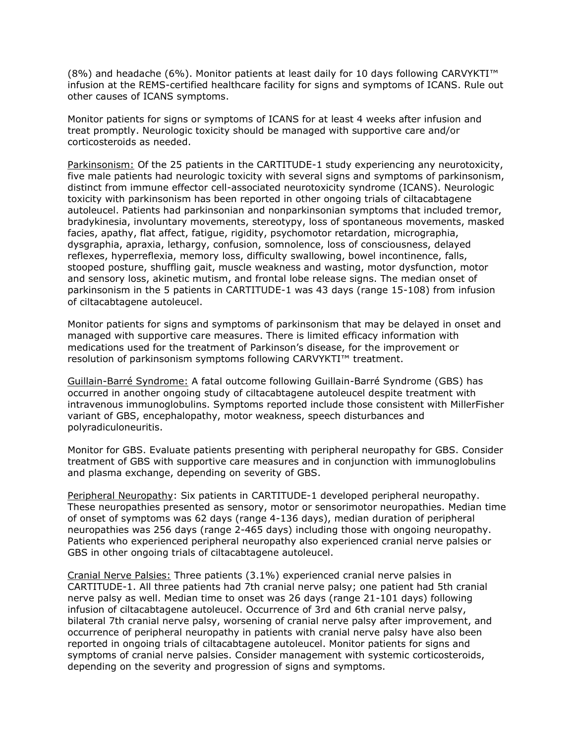(8%) and headache (6%). Monitor patients at least daily for 10 days following CARVYKTI™ infusion at the REMS-certified healthcare facility for signs and symptoms of ICANS. Rule out other causes of ICANS symptoms.

Monitor patients for signs or symptoms of ICANS for at least 4 weeks after infusion and treat promptly. Neurologic toxicity should be managed with supportive care and/or corticosteroids as needed.

Parkinsonism: Of the 25 patients in the CARTITUDE-1 study experiencing any neurotoxicity, five male patients had neurologic toxicity with several signs and symptoms of parkinsonism, distinct from immune effector cell-associated neurotoxicity syndrome (ICANS). Neurologic toxicity with parkinsonism has been reported in other ongoing trials of ciltacabtagene autoleucel. Patients had parkinsonian and nonparkinsonian symptoms that included tremor, bradykinesia, involuntary movements, stereotypy, loss of spontaneous movements, masked facies, apathy, flat affect, fatigue, rigidity, psychomotor retardation, micrographia, dysgraphia, apraxia, lethargy, confusion, somnolence, loss of consciousness, delayed reflexes, hyperreflexia, memory loss, difficulty swallowing, bowel incontinence, falls, stooped posture, shuffling gait, muscle weakness and wasting, motor dysfunction, motor and sensory loss, akinetic mutism, and frontal lobe release signs. The median onset of parkinsonism in the 5 patients in CARTITUDE-1 was 43 days (range 15-108) from infusion of ciltacabtagene autoleucel.

Monitor patients for signs and symptoms of parkinsonism that may be delayed in onset and managed with supportive care measures. There is limited efficacy information with medications used for the treatment of Parkinson's disease, for the improvement or resolution of parkinsonism symptoms following CARVYKTI™ treatment.

Guillain-Barré Syndrome: A fatal outcome following Guillain-Barré Syndrome (GBS) has occurred in another ongoing study of ciltacabtagene autoleucel despite treatment with intravenous immunoglobulins. Symptoms reported include those consistent with MillerFisher variant of GBS, encephalopathy, motor weakness, speech disturbances and polyradiculoneuritis.

Monitor for GBS. Evaluate patients presenting with peripheral neuropathy for GBS. Consider treatment of GBS with supportive care measures and in conjunction with immunoglobulins and plasma exchange, depending on severity of GBS.

Peripheral Neuropathy: Six patients in CARTITUDE-1 developed peripheral neuropathy. These neuropathies presented as sensory, motor or sensorimotor neuropathies. Median time of onset of symptoms was 62 days (range 4-136 days), median duration of peripheral neuropathies was 256 days (range 2-465 days) including those with ongoing neuropathy. Patients who experienced peripheral neuropathy also experienced cranial nerve palsies or GBS in other ongoing trials of ciltacabtagene autoleucel.

Cranial Nerve Palsies: Three patients (3.1%) experienced cranial nerve palsies in CARTITUDE-1. All three patients had 7th cranial nerve palsy; one patient had 5th cranial nerve palsy as well. Median time to onset was 26 days (range 21-101 days) following infusion of ciltacabtagene autoleucel. Occurrence of 3rd and 6th cranial nerve palsy, bilateral 7th cranial nerve palsy, worsening of cranial nerve palsy after improvement, and occurrence of peripheral neuropathy in patients with cranial nerve palsy have also been reported in ongoing trials of ciltacabtagene autoleucel. Monitor patients for signs and symptoms of cranial nerve palsies. Consider management with systemic corticosteroids, depending on the severity and progression of signs and symptoms.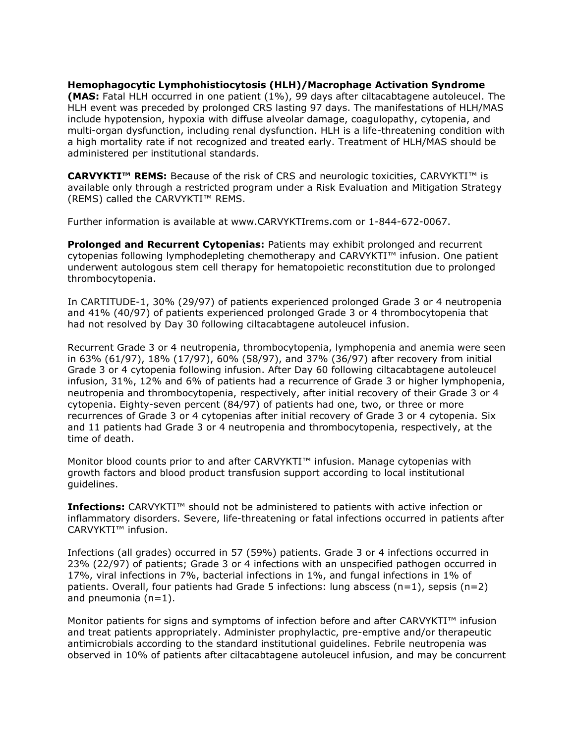**Hemophagocytic Lymphohistiocytosis (HLH)/Macrophage Activation Syndrome (MAS:** Fatal HLH occurred in one patient (1%), 99 days after ciltacabtagene autoleucel. The HLH event was preceded by prolonged CRS lasting 97 days. The manifestations of HLH/MAS include hypotension, hypoxia with diffuse alveolar damage, coagulopathy, cytopenia, and multi-organ dysfunction, including renal dysfunction. HLH is a life-threatening condition with a high mortality rate if not recognized and treated early. Treatment of HLH/MAS should be administered per institutional standards.

**CARVYKTI™ REMS:** Because of the risk of CRS and neurologic toxicities, CARVYKTI™ is available only through a restricted program under a Risk Evaluation and Mitigation Strategy (REMS) called the CARVYKTI™ REMS.

Further information is available at www.CARVYKTIrems.com or 1-844-672-0067.

**Prolonged and Recurrent Cytopenias:** Patients may exhibit prolonged and recurrent cytopenias following lymphodepleting chemotherapy and CARVYKTI™ infusion. One patient underwent autologous stem cell therapy for hematopoietic reconstitution due to prolonged thrombocytopenia.

In CARTITUDE-1, 30% (29/97) of patients experienced prolonged Grade 3 or 4 neutropenia and 41% (40/97) of patients experienced prolonged Grade 3 or 4 thrombocytopenia that had not resolved by Day 30 following ciltacabtagene autoleucel infusion.

Recurrent Grade 3 or 4 neutropenia, thrombocytopenia, lymphopenia and anemia were seen in 63% (61/97), 18% (17/97), 60% (58/97), and 37% (36/97) after recovery from initial Grade 3 or 4 cytopenia following infusion. After Day 60 following ciltacabtagene autoleucel infusion, 31%, 12% and 6% of patients had a recurrence of Grade 3 or higher lymphopenia, neutropenia and thrombocytopenia, respectively, after initial recovery of their Grade 3 or 4 cytopenia. Eighty-seven percent (84/97) of patients had one, two, or three or more recurrences of Grade 3 or 4 cytopenias after initial recovery of Grade 3 or 4 cytopenia. Six and 11 patients had Grade 3 or 4 neutropenia and thrombocytopenia, respectively, at the time of death.

Monitor blood counts prior to and after CARVYKTI™ infusion. Manage cytopenias with growth factors and blood product transfusion support according to local institutional guidelines.

**Infections:** CARVYKTI™ should not be administered to patients with active infection or inflammatory disorders. Severe, life-threatening or fatal infections occurred in patients after CARVYKTI™ infusion.

Infections (all grades) occurred in 57 (59%) patients. Grade 3 or 4 infections occurred in 23% (22/97) of patients; Grade 3 or 4 infections with an unspecified pathogen occurred in 17%, viral infections in 7%, bacterial infections in 1%, and fungal infections in 1% of patients. Overall, four patients had Grade 5 infections: lung abscess  $(n=1)$ , sepsis  $(n=2)$ and pneumonia (n=1).

Monitor patients for signs and symptoms of infection before and after CARVYKTI<sup>™</sup> infusion and treat patients appropriately. Administer prophylactic, pre-emptive and/or therapeutic antimicrobials according to the standard institutional guidelines. Febrile neutropenia was observed in 10% of patients after ciltacabtagene autoleucel infusion, and may be concurrent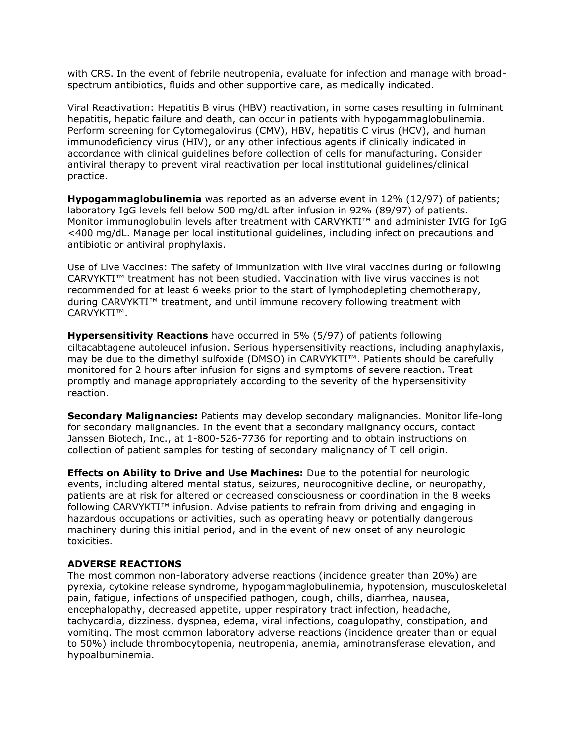with CRS. In the event of febrile neutropenia, evaluate for infection and manage with broadspectrum antibiotics, fluids and other supportive care, as medically indicated.

Viral Reactivation: Hepatitis B virus (HBV) reactivation, in some cases resulting in fulminant hepatitis, hepatic failure and death, can occur in patients with hypogammaglobulinemia. Perform screening for Cytomegalovirus (CMV), HBV, hepatitis C virus (HCV), and human immunodeficiency virus (HIV), or any other infectious agents if clinically indicated in accordance with clinical guidelines before collection of cells for manufacturing. Consider antiviral therapy to prevent viral reactivation per local institutional guidelines/clinical practice.

**Hypogammaglobulinemia** was reported as an adverse event in 12% (12/97) of patients; laboratory IgG levels fell below 500 mg/dL after infusion in 92% (89/97) of patients. Monitor immunoglobulin levels after treatment with CARVYKTI™ and administer IVIG for IgG <400 mg/dL. Manage per local institutional guidelines, including infection precautions and antibiotic or antiviral prophylaxis.

Use of Live Vaccines: The safety of immunization with live viral vaccines during or following CARVYKTI™ treatment has not been studied. Vaccination with live virus vaccines is not recommended for at least 6 weeks prior to the start of lymphodepleting chemotherapy, during CARVYKTI™ treatment, and until immune recovery following treatment with CARVYKTI™.

**Hypersensitivity Reactions** have occurred in 5% (5/97) of patients following ciltacabtagene autoleucel infusion. Serious hypersensitivity reactions, including anaphylaxis, may be due to the dimethyl sulfoxide (DMSO) in CARVYKTI™. Patients should be carefully monitored for 2 hours after infusion for signs and symptoms of severe reaction. Treat promptly and manage appropriately according to the severity of the hypersensitivity reaction.

**Secondary Malignancies:** Patients may develop secondary malignancies. Monitor life-long for secondary malignancies. In the event that a secondary malignancy occurs, contact Janssen Biotech, Inc., at 1-800-526-7736 for reporting and to obtain instructions on collection of patient samples for testing of secondary malignancy of T cell origin.

**Effects on Ability to Drive and Use Machines:** Due to the potential for neurologic events, including altered mental status, seizures, neurocognitive decline, or neuropathy, patients are at risk for altered or decreased consciousness or coordination in the 8 weeks following CARVYKTI™ infusion. Advise patients to refrain from driving and engaging in hazardous occupations or activities, such as operating heavy or potentially dangerous machinery during this initial period, and in the event of new onset of any neurologic toxicities.

#### **ADVERSE REACTIONS**

The most common non-laboratory adverse reactions (incidence greater than 20%) are pyrexia, cytokine release syndrome, hypogammaglobulinemia, hypotension, musculoskeletal pain, fatigue, infections of unspecified pathogen, cough, chills, diarrhea, nausea, encephalopathy, decreased appetite, upper respiratory tract infection, headache, tachycardia, dizziness, dyspnea, edema, viral infections, coagulopathy, constipation, and vomiting. The most common laboratory adverse reactions (incidence greater than or equal to 50%) include thrombocytopenia, neutropenia, anemia, aminotransferase elevation, and hypoalbuminemia.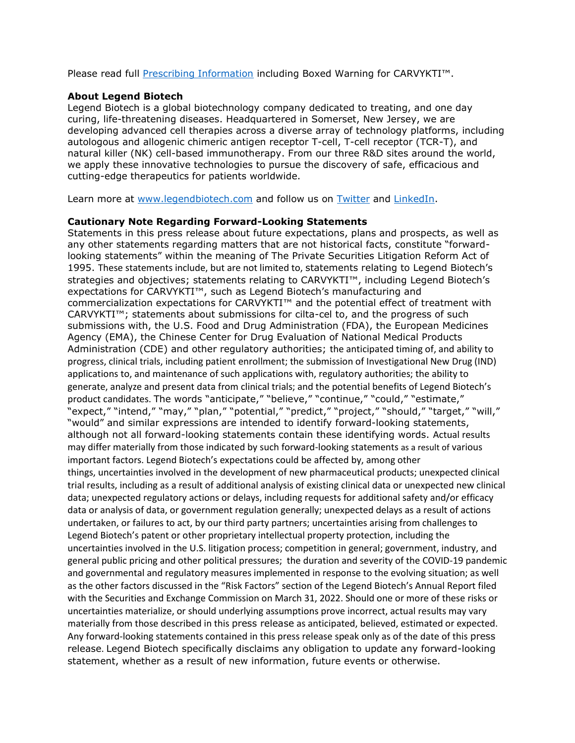Please read full [Prescribing Information](https://www.janssenlabels.com/package-insert/product-monograph/prescribing-information/CARVYKTI-pi.pdf) including Boxed Warning for CARVYKTI™.

### **About Legend Biotech**

Legend Biotech is a global biotechnology company dedicated to treating, and one day curing, life-threatening diseases. Headquartered in Somerset, New Jersey, we are developing advanced cell therapies across a diverse array of technology platforms, including autologous and allogenic chimeric antigen receptor T-cell, T-cell receptor (TCR-T), and natural killer (NK) cell-based immunotherapy. From our three R&D sites around the world, we apply these innovative technologies to pursue the discovery of safe, efficacious and cutting-edge therapeutics for patients worldwide.

Learn more at [www.legendbiotech.com](https://apc01.safelinks.protection.outlook.com/?url=https%3A%2F%2Furldefense.com%2Fv3%2F__http%3A%2Fwww.legendbiotech.com%2F__%3B!!Dahw-A9d0CA!l_HBzc6uFFeUDuZZa9ZaL36SCN4RrVIMjWybRwXGmPMcCeXFMsUTZlHW7117Bv5v%24&data=04%7C01%7Ctina.carter%40legendbiotech.com%7C16a4efa927f340b07f5408d9730bde94%7Cd55ad7adbf234f2cb95e1164d77114c9%7C0%7C0%7C637667317543128330%7CUnknown%7CTWFpbGZsb3d8eyJWIjoiMC4wLjAwMDAiLCJQIjoiV2luMzIiLCJBTiI6Ik1haWwiLCJXVCI6Mn0%3D%7C2000&sdata=SGEIilDeN6oOC2e6jPKxF9s4UeP%2F7qYMPZCwABxs1GY%3D&reserved=0) and follow us on [Twitter](https://apc01.safelinks.protection.outlook.com/?url=https%3A%2F%2Furldefense.com%2Fv3%2F__https%3A%2Ftwitter.com%2Flegendbiotech%3Flang%3Den__%3B!!Dahw-A9d0CA!l_HBzc6uFFeUDuZZa9ZaL36SCN4RrVIMjWybRwXGmPMcCeXFMsUTZlHW7-CeoCbi%24&data=04%7C01%7Ctina.carter%40legendbiotech.com%7C16a4efa927f340b07f5408d9730bde94%7Cd55ad7adbf234f2cb95e1164d77114c9%7C0%7C0%7C637667317543138324%7CUnknown%7CTWFpbGZsb3d8eyJWIjoiMC4wLjAwMDAiLCJQIjoiV2luMzIiLCJBTiI6Ik1haWwiLCJXVCI6Mn0%3D%7C2000&sdata=G67YvZwhP%2FqpNT70jcxhfJtkRBbttuYxLr1GRRXONFY%3D&reserved=0) and [LinkedIn.](https://apc01.safelinks.protection.outlook.com/?url=https%3A%2F%2Furldefense.com%2Fv3%2F__https%3A%2Fwww.linkedin.com%2Fcompany%2Flegendbiotechco.%2F__%3B!!Dahw-A9d0CA!l_HBzc6uFFeUDuZZa9ZaL36SCN4RrVIMjWybRwXGmPMcCeXFMsUTZlHW7xWi5KQF%24&data=04%7C01%7Ctina.carter%40legendbiotech.com%7C16a4efa927f340b07f5408d9730bde94%7Cd55ad7adbf234f2cb95e1164d77114c9%7C0%7C0%7C637667317543138324%7CUnknown%7CTWFpbGZsb3d8eyJWIjoiMC4wLjAwMDAiLCJQIjoiV2luMzIiLCJBTiI6Ik1haWwiLCJXVCI6Mn0%3D%7C2000&sdata=rAaHW745AINa0fRJ5bSa9ANpUsQtVUxOPkh%2BsfS5lao%3D&reserved=0)

# **Cautionary Note Regarding Forward-Looking Statements**

Statements in this press release about future expectations, plans and prospects, as well as any other statements regarding matters that are not historical facts, constitute "forwardlooking statements" within the meaning of The Private Securities Litigation Reform Act of 1995. These statements include, but are not limited to, statements relating to Legend Biotech's strategies and objectives; statements relating to CARVYKTI™, including Legend Biotech's expectations for CARVYKTI™, such as Legend Biotech's manufacturing and commercialization expectations for CARVYKTI™ and the potential effect of treatment with CARVYKTI™; statements about submissions for cilta-cel to, and the progress of such submissions with, the U.S. Food and Drug Administration (FDA), the European Medicines Agency (EMA), the Chinese Center for Drug Evaluation of National Medical Products Administration (CDE) and other regulatory authorities; the anticipated timing of, and ability to progress, clinical trials, including patient enrollment; the submission of Investigational New Drug (IND) applications to, and maintenance of such applications with, regulatory authorities; the ability to generate, analyze and present data from clinical trials; and the potential benefits of Legend Biotech's product candidates. The words "anticipate," "believe," "continue," "could," "estimate," "expect," "intend," "may," "plan," "potential," "predict," "project," "should," "target," "will," "would" and similar expressions are intended to identify forward-looking statements, although not all forward-looking statements contain these identifying words. Actual results may differ materially from those indicated by such forward-looking statements as a result of various important factors. Legend Biotech's expectations could be affected by, among other things, uncertainties involved in the development of new pharmaceutical products; unexpected clinical trial results, including as a result of additional analysis of existing clinical data or unexpected new clinical data; unexpected regulatory actions or delays, including requests for additional safety and/or efficacy data or analysis of data, or government regulation generally; unexpected delays as a result of actions undertaken, or failures to act, by our third party partners; uncertainties arising from challenges to Legend Biotech's patent or other proprietary intellectual property protection, including the uncertainties involved in the U.S. litigation process; competition in general; government, industry, and general public pricing and other political pressures; the duration and severity of the COVID-19 pandemic and governmental and regulatory measures implemented in response to the evolving situation; as well as the other factors discussed in the "Risk Factors" section of the Legend Biotech's Annual Report filed with the Securities and Exchange Commission on March 31, 2022. Should one or more of these risks or uncertainties materialize, or should underlying assumptions prove incorrect, actual results may vary materially from those described in this press release as anticipated, believed, estimated or expected. Any forward-looking statements contained in this press release speak only as of the date of this press release. Legend Biotech specifically disclaims any obligation to update any forward-looking statement, whether as a result of new information, future events or otherwise.